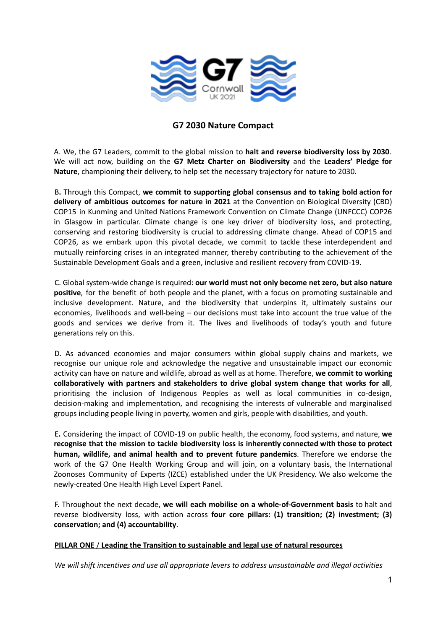

# **G7 2030 Nature Compact**

A. We, the G7 Leaders, commit to the global mission to **halt and reverse biodiversity loss by 2030**. We will act now, building on the **G7 Metz Charter on Biodiversity** and the **Leaders' Pledge for Nature**, championing their delivery, to help set the necessary trajectory for nature to 2030.

B**.** Through this Compact, **we commit to supporting global consensus and to taking bold action for delivery of ambitious outcomes for nature in 2021** at the Convention on Biological Diversity (CBD) COP15 in Kunming and United Nations Framework Convention on Climate Change (UNFCCC) COP26 in Glasgow in particular. Climate change is one key driver of biodiversity loss, and protecting, conserving and restoring biodiversity is crucial to addressing climate change. Ahead of COP15 and COP26, as we embark upon this pivotal decade, we commit to tackle these interdependent and mutually reinforcing crises in an integrated manner, thereby contributing to the achievement of the Sustainable Development Goals and a green, inclusive and resilient recovery from COVID-19.

C. Global system-wide change is required: **our world must not only become net zero, but also nature positive**, for the benefit of both people and the planet, with a focus on promoting sustainable and inclusive development. Nature, and the biodiversity that underpins it, ultimately sustains our economies, livelihoods and well-being – our decisions must take into account the true value of the goods and services we derive from it. The lives and livelihoods of today's youth and future generations rely on this.

D. As advanced economies and major consumers within global supply chains and markets, we recognise our unique role and acknowledge the negative and unsustainable impact our economic activity can have on nature and wildlife, abroad as well as at home. Therefore, **we commit to working collaboratively with partners and stakeholders to drive global system change that works for all**, prioritising the inclusion of Indigenous Peoples as well as local communities in co-design, decision-making and implementation, and recognising the interests of vulnerable and marginalised groups including people living in poverty, women and girls, people with disabilities, and youth.

E**.** Considering the impact of COVID-19 on public health, the economy, food systems, and nature, **we recognise that the mission to tackle biodiversity loss is inherently connected with those to protect human, wildlife, and animal health and to prevent future pandemics**. Therefore we endorse the work of the G7 One Health Working Group and will join, on a voluntary basis, the International Zoonoses Community of Experts (IZCE) established under the UK Presidency. We also welcome the newly-created One Health High Level Expert Panel.

F. Throughout the next decade, **we will each mobilise on a whole-of-Government basis** to halt and reverse biodiversity loss, with action across **four core pillars: (1) transition; (2) investment; (3) conservation; and (4) accountability**.

## **PILLAR ONE** / **Leading the Transition to sustainable and legal use of natural resources**

*We will shift incentives and use all appropriate levers to address unsustainable and illegal activities*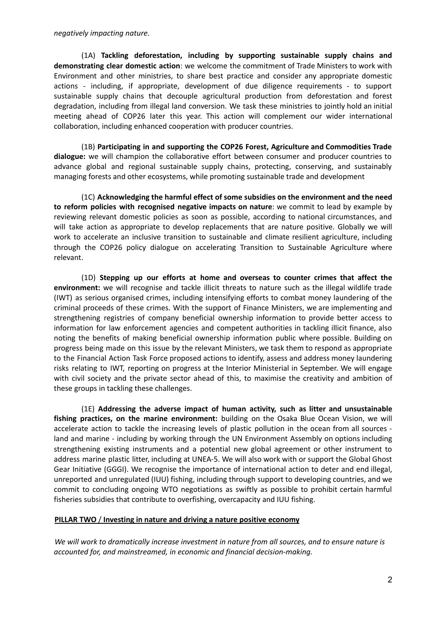(1A) **Tackling deforestation, including by supporting sustainable supply chains and demonstrating clear domestic action**: we welcome the commitment of Trade Ministers to work with Environment and other ministries, to share best practice and consider any appropriate domestic actions - including, if appropriate, development of due diligence requirements - to support sustainable supply chains that decouple agricultural production from deforestation and forest degradation, including from illegal land conversion. We task these ministries to jointly hold an initial meeting ahead of COP26 later this year. This action will complement our wider international collaboration, including enhanced cooperation with producer countries.

(1B) **Participating in and supporting the COP26 Forest, Agriculture and Commodities Trade dialogue:** we will champion the collaborative effort between consumer and producer countries to advance global and regional sustainable supply chains, protecting, conserving, and sustainably managing forests and other ecosystems, while promoting sustainable trade and development

(1C) **Acknowledging the harmful effect of some subsidies on the environment and the need to reform policies with recognised negative impacts on nature**: we commit to lead by example by reviewing relevant domestic policies as soon as possible, according to national circumstances, and will take action as appropriate to develop replacements that are nature positive. Globally we will work to accelerate an inclusive transition to sustainable and climate resilient agriculture, including through the COP26 policy dialogue on accelerating Transition to Sustainable Agriculture where relevant.

(1D) **Stepping up our efforts at home and overseas to counter crimes that affect the environment:** we will recognise and tackle illicit threats to nature such as the illegal wildlife trade (IWT) as serious organised crimes, including intensifying efforts to combat money laundering of the criminal proceeds of these crimes. With the support of Finance Ministers, we are implementing and strengthening registries of company beneficial ownership information to provide better access to information for law enforcement agencies and competent authorities in tackling illicit finance, also noting the benefits of making beneficial ownership information public where possible. Building on progress being made on this issue by the relevant Ministers, we task them to respond as appropriate to the Financial Action Task Force proposed actions to identify, assess and address money laundering risks relating to IWT, reporting on progress at the Interior Ministerial in September. We will engage with civil society and the private sector ahead of this, to maximise the creativity and ambition of these groups in tackling these challenges.

(1E) **Addressing the adverse impact of human activity, such as litter and unsustainable fishing practices, on the marine environment:** building on the Osaka Blue Ocean Vision, we will accelerate action to tackle the increasing levels of plastic pollution in the ocean from all sources land and marine - including by working through the UN Environment Assembly on options including strengthening existing instruments and a potential new global agreement or other instrument to address marine plastic litter, including at UNEA-5. We will also work with or support the Global Ghost Gear Initiative (GGGI). We recognise the importance of international action to deter and end illegal, unreported and unregulated (IUU) fishing, including through support to developing countries, and we commit to concluding ongoing WTO negotiations as swiftly as possible to prohibit certain harmful fisheries subsidies that contribute to overfishing, overcapacity and IUU fishing.

## **PILLAR TWO** / **Investing in nature and driving a nature positive economy**

*We will work to dramatically increase investment in nature from all sources, and to ensure nature is accounted for, and mainstreamed, in economic and financial decision-making.*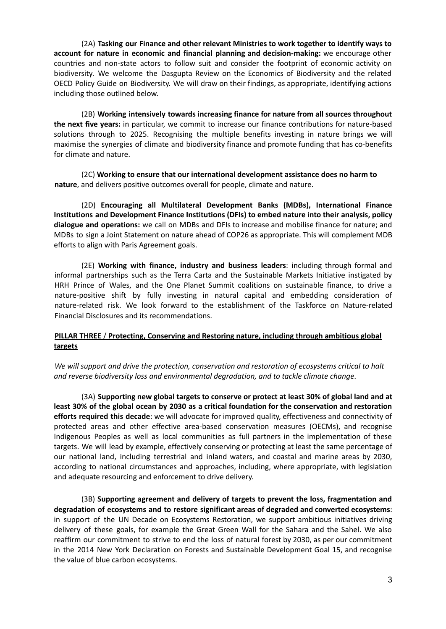(2A) **Tasking our Finance and other relevant Ministries to work together to identify ways to account for nature in economic and financial planning and decision-making:** we encourage other countries and non-state actors to follow suit and consider the footprint of economic activity on biodiversity. We welcome the Dasgupta Review on the Economics of Biodiversity and the related OECD Policy Guide on Biodiversity. We will draw on their findings, as appropriate, identifying actions including those outlined below.

(2B) **Working intensively towards increasing finance for nature from all sources throughout the next five years:** in particular, we commit to increase our finance contributions for nature-based solutions through to 2025. Recognising the multiple benefits investing in nature brings we will maximise the synergies of climate and biodiversity finance and promote funding that has co-benefits for climate and nature.

(2C) **Working to ensure that our international development assistance does no harm to nature**, and delivers positive outcomes overall for people, climate and nature.

(2D) **Encouraging all Multilateral Development Banks (MDBs), International Finance Institutions and Development Finance Institutions (DFIs) to embed nature into their analysis, policy dialogue and operations:** we call on MDBs and DFIs to increase and mobilise finance for nature; and MDBs to sign a Joint Statement on nature ahead of COP26 as appropriate. This will complement MDB efforts to align with Paris Agreement goals.

(2E) **Working with finance, industry and business leaders**: including through formal and informal partnerships such as the Terra Carta and the Sustainable Markets Initiative instigated by HRH Prince of Wales, and the One Planet Summit coalitions on sustainable finance, to drive a nature-positive shift by fully investing in natural capital and embedding consideration of nature-related risk. We look forward to the establishment of the Taskforce on Nature-related Financial Disclosures and its recommendations.

## **PILLAR THREE** / **Protecting, Conserving and Restoring nature, including through ambitious global targets**

*We will support and drive the protection, conservation and restoration of ecosystems critical to halt and reverse biodiversity loss and environmental degradation, and to tackle climate change.*

(3A) **Supporting new global targets to conserve or protect at least 30% of global land and at least 30% of the global ocean by 2030 as a critical foundation for the conservation and restoration efforts required this decade**: we will advocate for improved quality, effectiveness and connectivity of protected areas and other effective area-based conservation measures (OECMs), and recognise Indigenous Peoples as well as local communities as full partners in the implementation of these targets. We will lead by example, effectively conserving or protecting at least the same percentage of our national land, including terrestrial and inland waters, and coastal and marine areas by 2030, according to national circumstances and approaches, including, where appropriate, with legislation and adequate resourcing and enforcement to drive delivery.

(3B) **Supporting agreement and delivery of targets to prevent the loss, fragmentation and degradation of ecosystems and to restore significant areas of degraded and converted ecosystems**: in support of the UN Decade on Ecosystems Restoration, we support ambitious initiatives driving delivery of these goals, for example the Great Green Wall for the Sahara and the Sahel. We also reaffirm our commitment to strive to end the loss of natural forest by 2030, as per our commitment in the 2014 New York Declaration on Forests and Sustainable Development Goal 15, and recognise the value of blue carbon ecosystems.